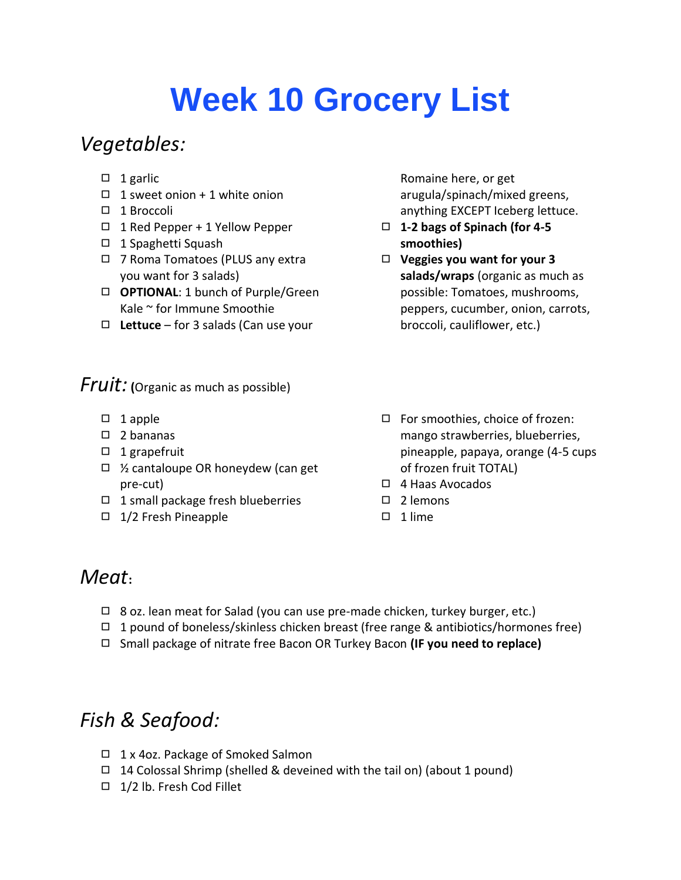# **Week 10 Grocery List**

# *Vegetables:*

- $\Box$  1 garlic
- $\Box$  1 sweet onion + 1 white onion
- ◻ 1 Broccoli
- ◻ 1 Red Pepper + 1 Yellow Pepper
- ◻ 1 Spaghetti Squash
- ◻ 7 Roma Tomatoes (PLUS any extra you want for 3 salads)
- ◻ **OPTIONAL**: 1 bunch of Purple/Green Kale ~ for Immune Smoothie
- ◻ **Lettuce** for 3 salads (Can use your

*Fruit:* **(**Organic as much as possible)

- $\square$  1 apple
- ◻ 2 bananas
- ◻ 1 grapefruit
- ◻ ½ cantaloupe OR honeydew (can get pre-cut)
- ◻ 1 small package fresh blueberries
- ◻ 1/2 Fresh Pineapple

Romaine here, or get arugula/spinach/mixed greens, anything EXCEPT Iceberg lettuce.

- ◻ **1-2 bags of Spinach (for 4-5 smoothies)**
- ◻ **Veggies you want for your 3 salads/wraps** (organic as much as possible: Tomatoes, mushrooms, peppers, cucumber, onion, carrots, broccoli, cauliflower, etc.)
- ◻ For smoothies, choice of frozen: mango strawberries, blueberries, pineapple, papaya, orange (4-5 cups of frozen fruit TOTAL)
- ◻ 4 Haas Avocados
- ◻ 2 lemons
- ◻ 1 lime

#### *Meat***:**

- $\Box$  8 oz. lean meat for Salad (you can use pre-made chicken, turkey burger, etc.)
- □ 1 pound of boneless/skinless chicken breast (free range & antibiotics/hormones free)
- ◻ Small package of nitrate free Bacon OR Turkey Bacon **(IF you need to replace)**

# *Fish & Seafood:*

- ◻ 1 x 4oz. Package of Smoked Salmon
- $\Box$  14 Colossal Shrimp (shelled & deveined with the tail on) (about 1 pound)
- ◻ 1/2 lb. Fresh Cod Fillet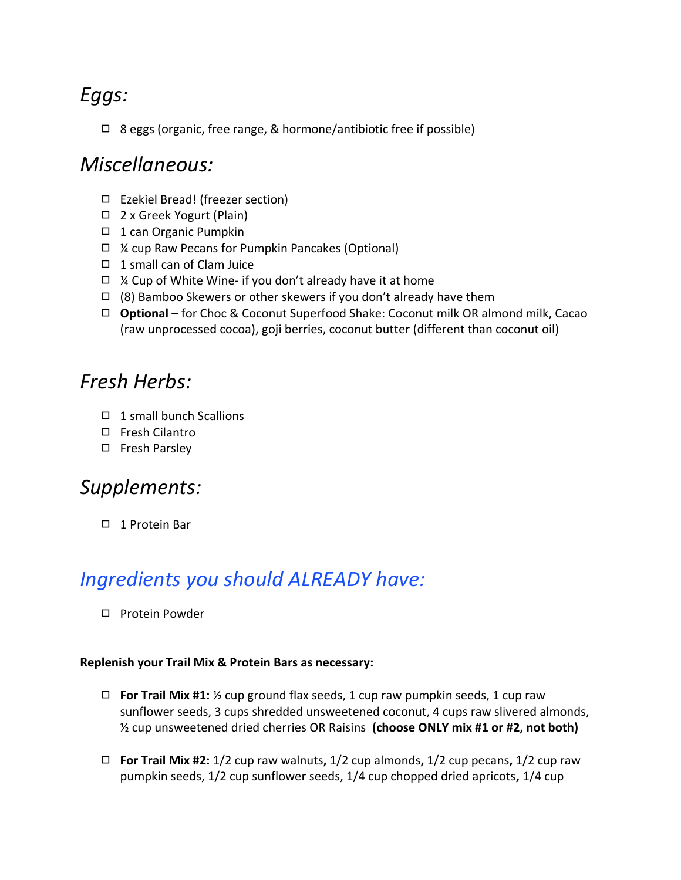# *Eggs:*

◻ 8 eggs (organic, free range, & hormone/antibiotic free if possible)

#### *Miscellaneous:*

- ◻ Ezekiel Bread! (freezer section)
- ◻ 2 x Greek Yogurt (Plain)
- ◻ 1 can Organic Pumpkin
- ◻ ¼ cup Raw Pecans for Pumpkin Pancakes (Optional)
- ◻ 1 small can of Clam Juice
- $\Box$  % Cup of White Wine- if you don't already have it at home
- $\Box$  (8) Bamboo Skewers or other skewers if you don't already have them
- ◻ **Optional**  for Choc & Coconut Superfood Shake: Coconut milk OR almond milk, Cacao (raw unprocessed cocoa), goji berries, coconut butter (different than coconut oil)

### *Fresh Herbs:*

- ◻ 1 small bunch Scallions
- ◻ Fresh Cilantro
- ◻ Fresh Parsley

## *Supplements:*

◻ 1 Protein Bar

# *Ingredients you should ALREADY have:*

◻ Protein Powder

#### **Replenish your Trail Mix & Protein Bars as necessary:**

- ◻ **For Trail Mix #1:** ½ cup ground flax seeds, 1 cup raw pumpkin seeds, 1 cup raw sunflower seeds, 3 cups shredded unsweetened coconut, 4 cups raw slivered almonds, ½ cup unsweetened dried cherries OR Raisins **(choose ONLY mix #1 or #2, not both)**
- ◻ **For Trail Mix #2:** 1/2 cup raw walnuts**,** 1/2 cup almonds**,** 1/2 cup pecans**,** 1/2 cup raw pumpkin seeds, 1/2 cup sunflower seeds, 1/4 cup chopped dried apricots**,** 1/4 cup